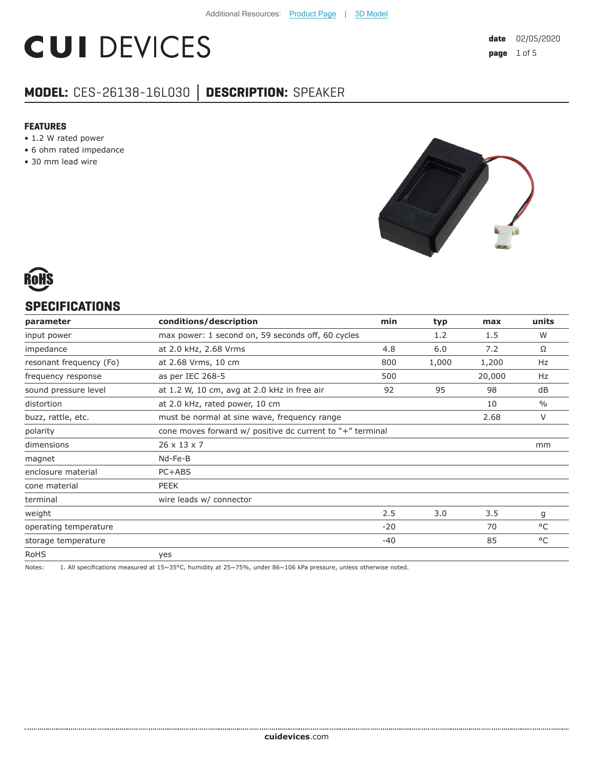# **CUI DEVICES**

## **MODEL:** CES-26138-16L030 **│ DESCRIPTION:** SPEAKER

#### **FEATURES**

- 1.2 W rated power
- 6 ohm rated impedance
- 30 mm lead wire





### **SPECIFICATIONS**

| parameter               | conditions/description                                         | min   | typ   | max    | units         |
|-------------------------|----------------------------------------------------------------|-------|-------|--------|---------------|
| input power             | max power: 1 second on, 59 seconds off, 60 cycles              |       | 1.2   | 1.5    | W             |
| impedance               | at 2.0 kHz, 2.68 Vrms                                          | 4.8   | 6.0   | 7.2    | Ω             |
| resonant frequency (Fo) | at 2.68 Vrms, 10 cm                                            | 800   | 1,000 | 1,200  | Hz            |
| frequency response      | as per IEC 268-5                                               | 500   |       | 20,000 | Hz            |
| sound pressure level    | at 1.2 W, 10 cm, avg at 2.0 kHz in free air                    | 92    | 95    | 98     | dB            |
| distortion              | at 2.0 kHz, rated power, 10 cm                                 |       |       | 10     | $\frac{0}{0}$ |
| buzz, rattle, etc.      | must be normal at sine wave, frequency range                   |       |       | 2.68   | $\vee$        |
| polarity                | cone moves forward $w/$ positive dc current to $"$ +" terminal |       |       |        |               |
| dimensions              | 26 x 13 x 7                                                    |       |       |        | mm            |
| magnet                  | Nd-Fe-B                                                        |       |       |        |               |
| enclosure material      | PC+ABS                                                         |       |       |        |               |
| cone material           | PEEK                                                           |       |       |        |               |
| terminal                | wire leads w/ connector                                        |       |       |        |               |
| weight                  |                                                                | 2.5   | 3.0   | 3.5    | g             |
| operating temperature   |                                                                | $-20$ |       | 70     | $^{\circ}$ C  |
| storage temperature     |                                                                | $-40$ |       | 85     | °C            |
| <b>RoHS</b>             | yes                                                            |       |       |        |               |

Notes: 1. All specifications measured at 15~35°C, humidity at 25~75%, under 86~106 kPa pressure, unless otherwise noted.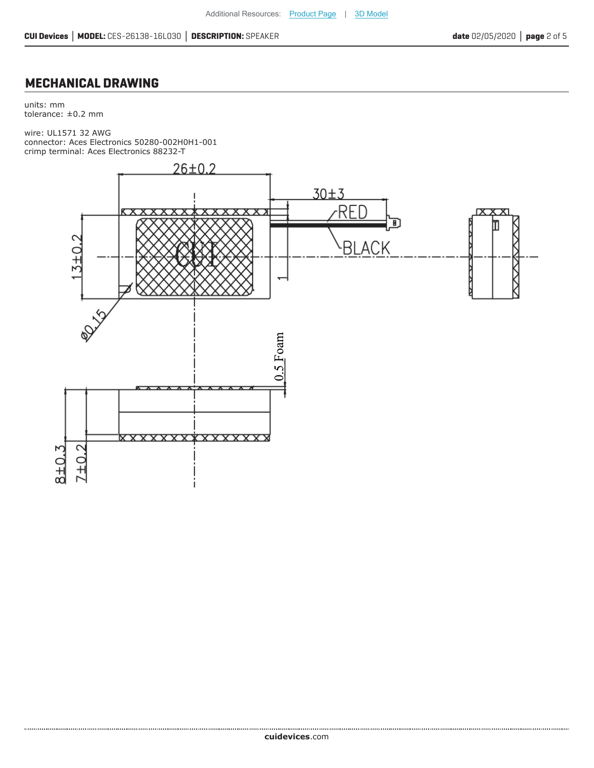## **MECHANICAL DRAWING**

units: mm tolerance: ±0.2 mm

wire: UL1571 32 AWG connector: Aces Electronics 50280-002H0H1-001 crimp terminal: Aces Electronics 88232-T

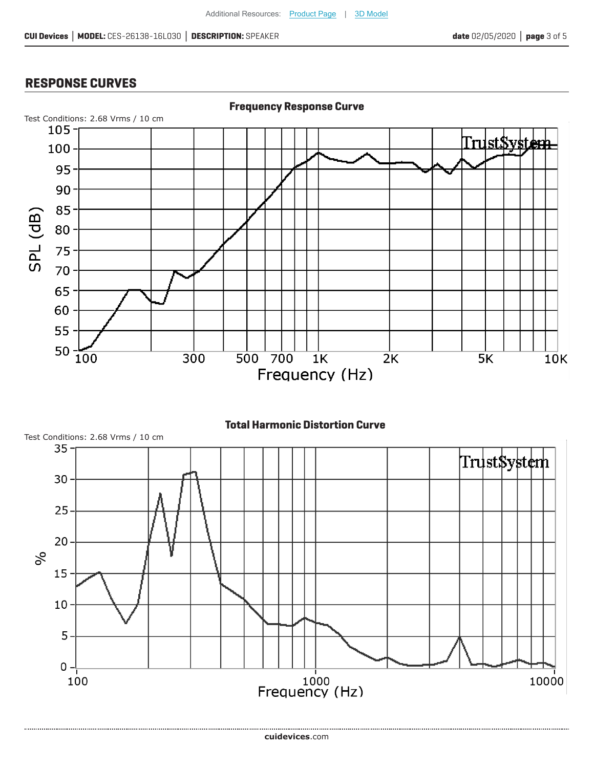### **RESPONSE CURVES**



#### **Total Harmonic Distortion Curve**



**cui[devices](https://www.cuidevices.com/track?actionLabel=Datasheet-ClickThrough-HomePage&label=CES-26138-16L030.pdf&path=/)**.com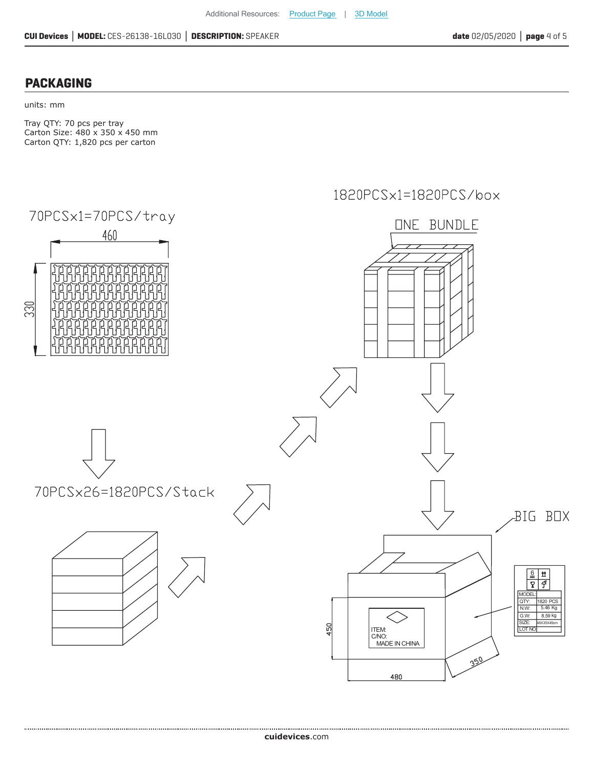#### **PACKAGING**

units: mm

Tray QTY: 70 pcs per tray Carton Size: 480 x 350 x 450 mm Carton QTY: 1,820 pcs per carton